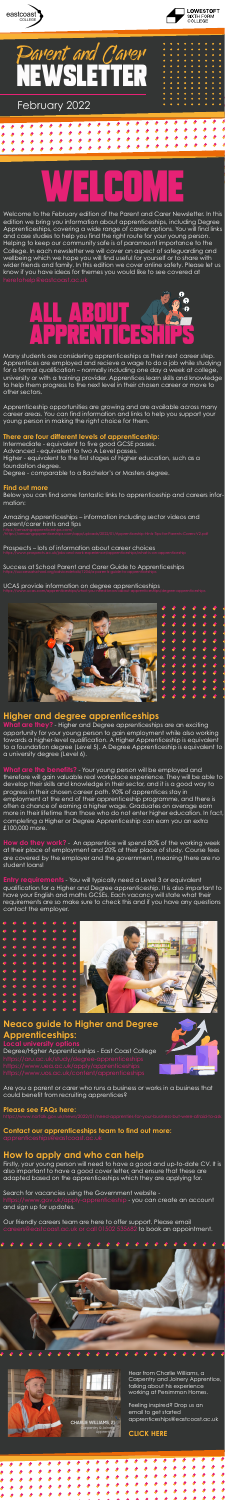





# WELCOME



Many students are considering apprenticeships as their next career step. Apprentices are employed and recieve a wage to do a job while studying for a formal qualification – normally including one day a week at college,

university or with a training provider. Apprentices learn skills and knowledge to help them progress to the next level in their chosen career or move to other sectors.

Apprenticeship opportunities are growing and are available across many career areas. You can find information and links to help you support your young person in making the right choice for them.

#### **There are four different levels of apprenticeship:**

Intermediate - equivalent to five good GCSE passes. Advanced - equivalent to two A Level passes. Higher - equivalent to the first stages of higher education, such as a foundation degree. Degree - comparable to a Bachelor's or Masters degree.

#### **Find out more**

Below you can find some fantastic links to apprenticeship and careers information:

Amazing Apprenticeships – information including sector videos and parent/carer hints and tips

Prospects – lots of information about career choices

Success at School Parent and Carer Guide to Apprenticeships

UCAS provide information on degree apprenticeships





#### **Higher and degree apprenticeships**

**What are they?** - Higher and Degree apprenticeships are an exciting opportunity for your young person to gain employment while also working towards a higher-level qualification. A Higher Apprenticeship is equivalent to a foundation degree (Level 5). A Degree Apprenticeship is equivalent to a university degree (Level 6).

**What are the benefits?** - Your young person will be employed and therefore will gain valuable real workplace experience. They will be able to develop their skills and knowledge in their sector, and it is a good way to progress in their chosen career path. 90% of apprentices stay in employment at the end of their apprenticeship programme, and there is often a chance of earning a higher wage. Graduates on average earn more in their lifetime than those who do not enter higher education. In fact, completing a Higher or Degree Apprenticeship can earn you an extra £100,000 more.

**How do they work?** - An apprentice will spend 80% of the working week at their place of employment and 20% at their place of study. Course fees are covered by the employer and the government, meaning there are no student loans!

**Entry requirements** - You will typically need a Level 3 or equivalent qualification for a Higher and Degree apprenticeship. It is also important to have your English and maths GCSEs. Each vacancy will state what their requirements are so make sure to check this and if you have any questions contact the employer.



#### **Neaco guide to Higher and Degree Apprenticeships:**

**Local university options** 

Degree/Higher Apprenticeships - East Coast College



Are you a parent or carer who runs a business or works in a business that could benefit from recruiting apprentices?

#### **Please see FAQs here:**

#### **Contact our apprenticeships team to find out more:**

#### **How to apply and who can help**

Firstly, your young person will need to have a good and up-to-date CV. It is also important to have a good cover letter, and ensure that these are adapted based on the apprenticeships which they are applying for.

Search for vacancies using the Government website https://www.gov.uk/apply-apprenticeship - you can create an account and sign up for updates.

Our friendly careers team are here to offer support. Please email careers@eastcoast.ac.uk or call 01502 535682 to book an appointment.





Welcome to the February edition of the Parent and Carer Newsletter. In this edition we bring you information about apprenticeships, including Degree Apprenticeships, covering a wide range of career options. You will find links and case studies to help you find the right route for your young person. Helping to keep our community safe is of paramount importance to the College. In each newsletter we will cover an aspect of safeguarding and wellbeing which we hope you will find useful for yourself or to share with wider friends and family. In this edition we cover online safety. Please let us know if you have ideas for themes you would like to see covered at

> Hear from Charlie Williams, a Carpentry and Joinery Apprentice, talking about his experience working at Persimmon Homes.

Feeling inspired? Drop us an email to get started apprenticeships@eastcoast.ac.uk

#### **CLICK HERE**

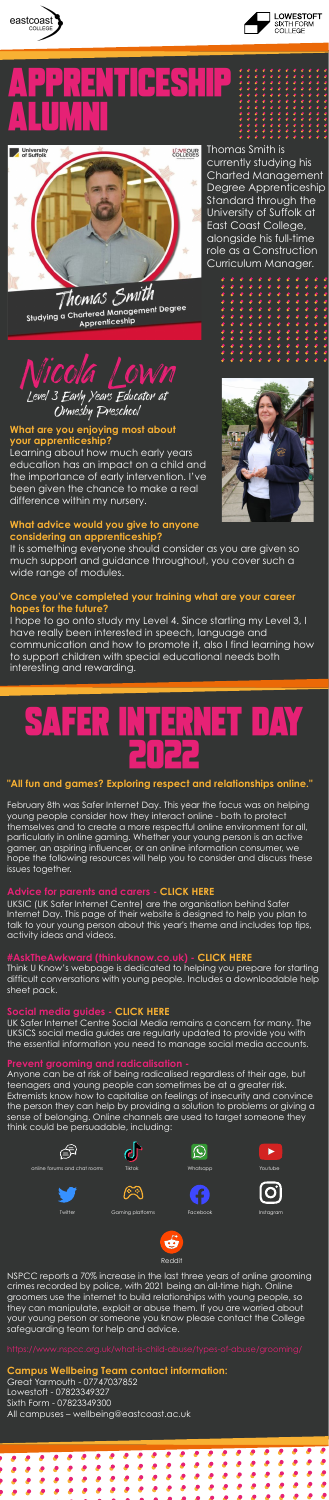Thomas Smith is currently studying his Charted Management Degree Apprenticeship Standard through the University of Suffolk at East Coast College, alongside his full-time role as a Construction Curriculum Manager.









a ) bul lei a alumni



Studying a Chartered Management Degree Apprenticeship

#### **What are you enjoying most about your apprenticeship?**

Learning about how much early years education has an impact on a child and the importance of early intervention. I've been given the chance to make a real

difference within my nursery.

NSPCC reports a 70% increase in the last three years of online grooming crimes recorded by police, with 2021 being an all-time high. Online groomers use the internet to build relationships with young people, so they can manipulate, exploit or abuse them. If you are worried about your young person or someone you know please contact the College safeguarding team for help and advice.

I hope to go onto study my Level 4. Since starting my Level 3, I have really been interested in speech, language and communication and how to promote it, also I find learning how to support children with special educational needs both interesting and rewarding.

#### **Campus Wellbeing Team contact information:**

Great Yarmouth - 07747037852 Lowestoft - 07823349327 Sixth Form - 07823349300 All campuses – wellbeing@eastcoast.ac.uk





**Reddit** 

#### **What advice would you give to anyone considering an apprenticeship?**

It is something everyone should consider as you are given so much support and guidance throughout, you cover such a wide range of modules.

#### **Once you've completed your training what are your career hopes for the future?**

### Safer Internet Day 2022

#### **"All fun and games? Exploring respect and relationships online."**

February 8th was Safer Internet Day. This year the focus was on helping young people consider how they interact online - both to protect themselves and to create a more respectful online environment for all, particularly in online gaming. Whether your young person is an active gamer, an aspiring influencer, or an online information consumer, we hope the following resources will help you to consider and discuss these issues together.

#### **Advice for parents and carers - [CLICK HERE](https://saferinternet.org.uk/safer-internet-day/safer-internet-day-2022/advice-for-parents-and-carers)**

UKSIC (UK Safer Internet Centre) are the organisation behind Safer Internet Day. This page of their website is designed to help you plan to talk to your young person about this year's theme and includes top tips, activity ideas and videos.

#### **#AskTheAwkward (thinkuknow.co.uk) - [CLICK HERE](https://www.thinkuknow.co.uk/parents/ask-the-awkward/)**

Think U Know's webpage is dedicated to helping you prepare for starting difficult conversations with young people. Includes a downloadable help sheet pack.

#### **Social media guides - [CLICK HERE](https://saferinternet.org.uk/guide-and-resource/social-media-guides)**

UK Safer Internet Centre Social Media remains a concern for many. The UKSICS social media guides are regularly updated to provide you with the essential information you need to manage social media accounts..

#### **Prevent grooming and radicalisation -**

Anyone can be at risk of being radicalised regardless of their age, but teenagers and young people can sometimes be at a greater risk. Extremists know how to capitalise on feelings of insecurity and convince the person they can help by providing a solution to problems or giving a sense of belonging. Online channels are used to target someone they think could be persuadable, including: